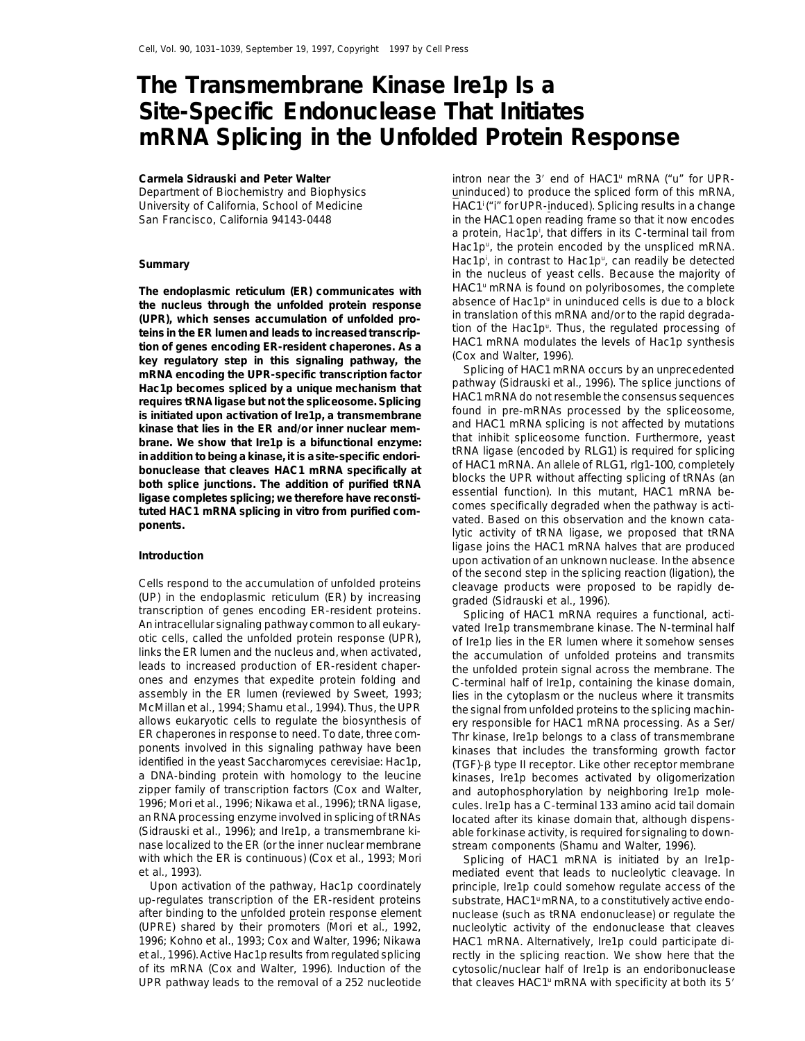# **The Transmembrane Kinase Ire1p Is a Site-Specific Endonuclease That Initiates mRNA Splicing in the Unfolded Protein Response**

tion of genes encoding ER-resident chaperones. As a<br>key regulatory step in this signaling pathway, the<br>mPNA encoding the UPP-specific transcription factor<br>mPNA encoding the UPP-specific transcription factor<br>Splicing of HAC Hac1p becomes spliced by a unique mechanism that<br>requires tRNA ligase but not the spliceosome. Splicing<br>is initiated upon activation of Ire1p, a transmembrane<br>kinase that lies in the ER and/or inner nuclear mem-<br>hat inhib

Cells respond to the accumulation of unfolded proteins<br>
(UP) in the endoplasmic reticulum (ER) by increasing<br>
transcription of genes encoding ER-resident proteins.<br>
An intracellular signaling pathway common to all eukary-<br> links the ER lumen and the nucleus and, when activated, the accumulation of unfolded proteins and transmits leads to increased production of ER-resident chaper-<br>Leads to increased production of ER-resident chaperleads to increased production of ER-resident chaper-<br>ones and enzymes that expedite protein folding and c-terminal half of Ire1p, containing the kinase domain, assembly in the ER lumen (reviewed by Sweet, 1993; lies in the cytoplasm or the nucleus where it transmits<br>McMillan et al., 1994; Shamu et al., 1994). Thus, the UPR the signal from unfolded proteins to the splicing machin-McMillan et al., 1994; Shamu et al., 1994). Thus, the UPReeffice signal from unfolded proteins to the splicing machin-<br>Allows eukaryotic cells to regulate the biosynthesis of ery responsible for HAC1 mRNA processing. As a ER chaperones in response to need. To date, three com-<br>ponents involved in this signaling pathway have been a sumases that includes the transforming growth factor ponents involved in this signaling pathway have been all kinases that includes the transforming growth factor<br>identified in the yeast Saccharomyces cerevisiae: Hac1p, all (TGF)-8 type II receptor. Like other receptor membr identified in the yeast Saccharomyces cerevisiae: Hac1p, and τη απείτριβ type II receptor. Like other receptor membrane<br>The line of the line of the ceptor. Like the composers in the composition of the bila protection of t zipper family of transcription factors (Cox and Walter, and autophosphorylation by neighboring Ire1p mole-1996; Mori et al., 1996; Nikawa et al., 1996); tRNA ligase, cules. Ire1p has a C-terminal 133 amino acid tail domain an RNA processing enzyme involved in splicing of tRNAs located after its kinase domain that, although dispens-(Sidrauski et al., 1996); and Ire1p, a transmembrane ki- able for kinase activity, is required for signaling to downnase localized to the ER (or the inner nuclear membrane stream components (Shamu and Walter, 1996). with which the ER is continuous) (Cox et al., 1993; Mori Splicing of HAC1 mRNA is initiated by an Ire1p-

up-regulates transcription of the ER-resident proteins substrate, *HAC1<sup>u</sup>* mRNA, to a constitutively active endo-UPR pathway leads to the removal of a 252 nucleotide that cleaves HAC1<sup>u</sup> mRNA with specificity at both its 5'

Carmela Sidrauski and Peter Walter **intron hear the 3'** end of *HAC1<sup>u</sup>* mRNA ("u" for UPR-Department of Biochemistry and Biophysics uninduced) to produce the spliced form of this mRNA, University of California, School of Medicine (Example 2011) HAC1<sup>i</sup>("i" for UPR-induced). Splicing results in a change San Francisco, California 94143-0448 **in the** *HAC1* open reading frame so that it now encodes a protein, Hac1p<sup>i</sup>, that differs in its C-terminal tail from Hac1 $p^u$ , the protein encoded by the unspliced mRNA. Summary **Example 20** Summary **Hactor** Hactor in contrast to Hactor can readily be detected in the nucleus of yeast cells. Because the majority of The endoplasmic reticulum (ER) communicates with<br>the nucleus through the unfolded protein response<br>(UPR), which senses accumulation of unfolded pro-<br>teins in the ER lumen and leads to increased transcrip-<br>tion of the Hac1

mRNA encoding the UPR-specific transcription factor Splicing of HAC1 mRNA occurs by an unprecedented<br>Hac1n becomes spliced by a unique mechanism that pathway (Sidrauski et al., 1996). The splice junctions of brane. We show that Ire1p is a bifunctional enzyme:<br>
in addition to being a kinase, it is a site-specific endori-<br>
bonuclease that cleaves HAC1 mRNA specifically at<br>
both splice junctions. The addition of purified tRNA<br>
li ligase joins the *HAC1* mRNA halves that are produced **Introduction** upon activation of an unknown nuclease. In the absence

kinases, Ire1p becomes activated by oligomerization

et al., 1993). mediated event that leads to nucleolytic cleavage. In Upon activation of the pathway, Hac1p coordinately principle, Ire1p could somehow regulate access of the after binding to the unfolded protein response element nuclease (such as tRNA endonuclease) or regulate the (UPRE) shared by their promoters (Mori et al., 1992, nucleolytic activity of the endonuclease that cleaves 1996; Kohno et al., 1993; Cox and Walter, 1996; Nikawa *HAC1* mRNA. Alternatively, Ire1p could participate diet al., 1996). Active Hac1presults from regulated splicing rectly in the splicing reaction. We show here that the of its mRNA (Cox and Walter, 1996). Induction of the cytosolic/nuclear half of Ire1p is an endoribonuclease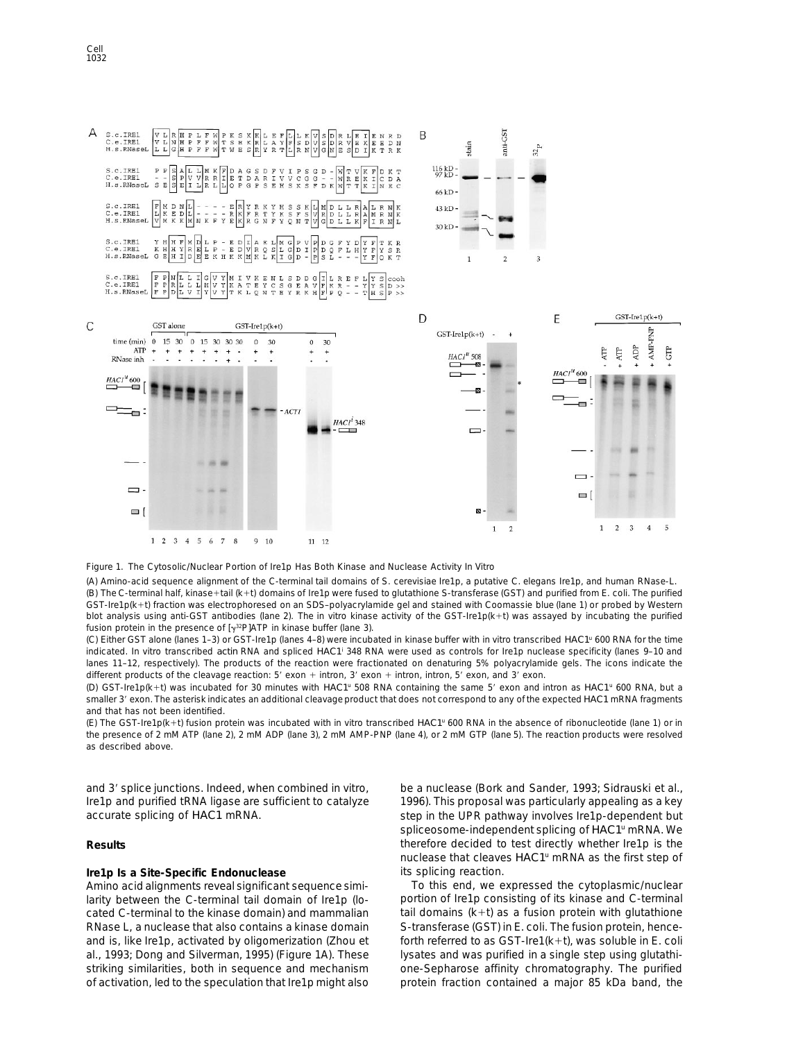

Figure 1. The Cytosolic/Nuclear Portion of Ire1p Has Both Kinase and Nuclease Activity In Vitro

(A) Amino-acid sequence alignment of the C-terminal tail domains of S. cerevisiae Ire1p, a putative C. elegans Ire1p, and human RNase-L. (B) The C-terminal half, kinase+tail (k+t) domains of Ire1p were fused to glutathione S-transferase (GST) and purified from E. coli. The purified GST-Ire1p(k+t) fraction was electrophoresed on an SDS-polyacrylamide gel and stained with Coomassie blue (lane 1) or probed by Western blot analysis using anti-GST antibodies (lane 2). The in vitro kinase activity of the GST-Ire1p(k+t) was assayed by incubating the purified fusion protein in the presence of  $[\gamma^{32}P]$ ATP in kinase buffer (lane 3).

(C) Either GST alone (lanes 1–3) or GST-Ire1p (lanes 4–8) were incubated in kinase buffer with in vitro transcribed *HAC1u* 600 RNA for the time indicated. In vitro transcribed *actin* RNA and spliced *HAC1i* 348 RNA were used as controls for Ire1p nuclease specificity (lanes 9–10 and lanes 11–12, respectively). The products of the reaction were fractionated on denaturing 5% polyacrylamide gels. The icons indicate the different products of the cleavage reaction:  $5'$  exon + intron,  $3'$  exon + intron, intron,  $5'$  exon, and  $3'$  exon.

(D) GST-Ire1p(k+t) was incubated for 30 minutes with *HAC1<sup>u</sup>* 508 RNA containing the same 5' exon and intron as *HAC1<sup>u</sup>* 600 RNA, but a smaller 3' exon. The asterisk indicates an additional cleavage product that does not correspond to any of the expected HAC1 mRNA fragments and that has not been identified.

(E) The GST-Ire1p(k1t) fusion protein was incubated with in vitro transcribed *HAC1u* 600 RNA in the absence of ribonucleotide (lane 1) or in the presence of 2 mM ATP (lane 2), 2 mM ADP (lane 3), 2 mM AMP-PNP (lane 4), or 2 mM GTP (lane 5). The reaction products were resolved as described above.

and 3' splice junctions. Indeed, when combined in vitro, be a nuclease (Bork and Sander, 1993; Sidrauski et al., Ire1p and purified tRNA ligase are sufficient to catalyze 1996). This proposal was particularly appealing as a key

# **Ire1p Is a Site-Specific Endonuclease** its splicing reaction.

Amino acid alignments reveal significant sequence simi- To this end, we expressed the cytoplasmic/nuclear larity between the C-terminal tail domain of Ire1p (lo- portion of Ire1p consisting of its kinase and C-terminal cated C-terminal to the kinase domain) and mammalian tail domains  $(k+t)$  as a fusion protein with glutathione RNase L, a nuclease that also contains a kinase domain S-transferase (GST) in E. coli. The fusion protein, henceand is, like Ire1p, activated by oligomerization (Zhou et forth referred to as GST-Ire1(k+t), was soluble in E. coli al., 1993; Dong and Silverman, 1995) (Figure 1A). These lysates and was purified in a single step using glutathistriking similarities, both in sequence and mechanism one-Sepharose affinity chromatography. The purified of activation, led to the speculation that Ire1p might also protein fraction contained a major 85 kDa band, the

accurate splicing of *HAC1* mRNA. step in the UPR pathway involves Ire1p-dependent but spliceosome-independent splicing of *HAC1<sup>u</sup>* mRNA. We **Results** therefore decided to test directly whether Ire1p is the nuclease that cleaves *HAC1u* mRNA as the first step of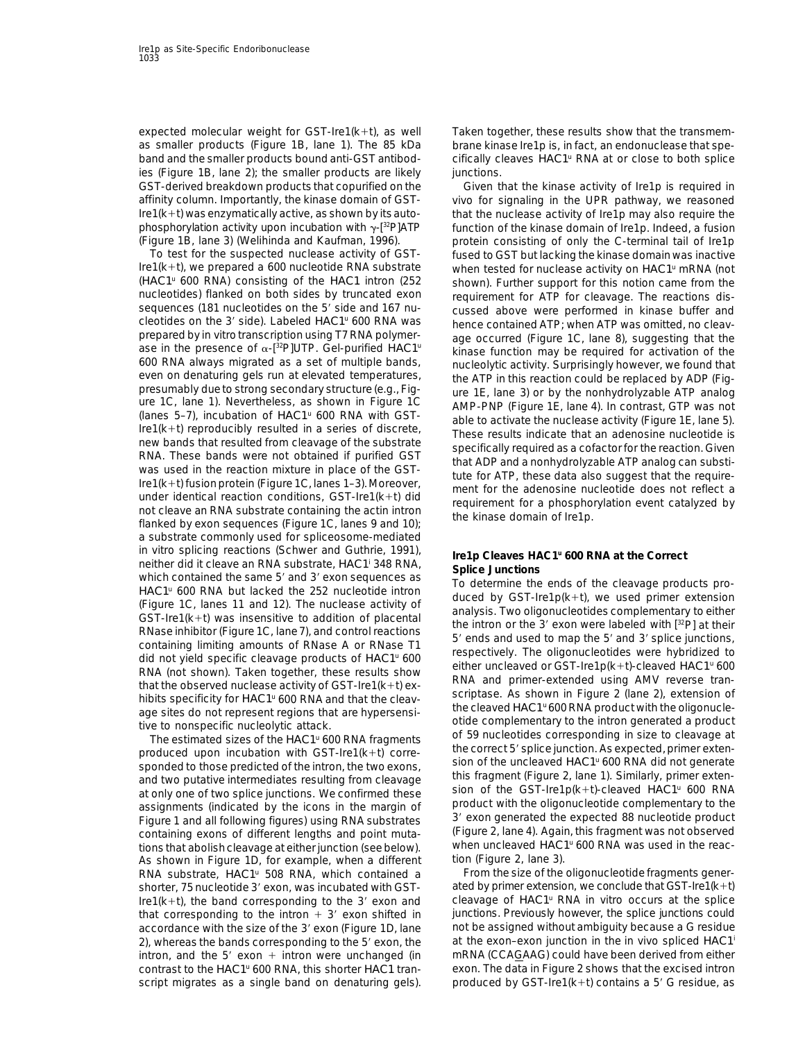expected molecular weight for  $GST-Ire1(k+t)$ , as well Taken together, these results show that the transmemas smaller products (Figure 1B, lane 1). The 85 kDa brane kinase Ire1p is, in fact, an endonuclease that speband and the smaller products bound anti-GST antibod- cifically cleaves *HAC1u* RNA at or close to both splice ies (Figure 1B, lane 2); the smaller products are likely junctions. GST-derived breakdown products that copurified on the Given that the kinase activity of Ire1p is required in affinity column. Importantly, the kinase domain of GST- vivo for signaling in the UPR pathway, we reasoned Ire1( $k+t$ ) was enzymatically active, as shown by its auto- that the nuclease activity of Ire1p may also require the phosphorylation activity upon incubation with  $\gamma$ -[<sup>32</sup>P]ATP function of the kinase domain of Ire1p. Indeed, a fusion

Ire1(k+t), we prepared a 600 nucleotide RNA substrate when tested for nuclease activity on *HAC1<sup>u</sup>* mRNA (not *HAC1u* mRNA (not *HAC1u* mRNA (not *HAC1u* mRNA (not *HAC1u* mRNA (not (*HAC1*<sup>u</sup> 600 RNA) consisting of the *HAC1* intron (252 shown). Further support for this notion came from the<br>nucleotides) flanked on both sides by truncated exon sequirement for ATP for cleavage. The reactions disnucleotides) flanked on both sides by truncated exon a requirement for ATP for cleavage. The reactions dis-<br>sequences (181 nucleotides on the 5' side and 167 nu-all cussed above were performed in kinase buffer and sequences (181 nucleotides on the 5' side and 167 nu-<br>cleotides on the 3' side). Labeled HAC1<sup>"</sup> 600 RNA was a some contained ATP: when ATP was omitted no cleavcleotides on the 3' side). Labeled *HAC1*<sup>u</sup> 600 RNA was hence contained ATP; when ATP was omitted, no cleav-<br>prepared by in vitro transcription using T7 RNA polymer-<br>age occurred (Figure 1C, Jane 8), suggesting that the prepared by in vitro transcription using T7 RNA polymer-<br>ase in the presence of  $\alpha$ -[<sup>32</sup>P]UTP. Gel-purified *HAC1<sup>u</sup>* age occurred (Figure 1C, lane 8), suggesting that the ase in the presence of  $\alpha$ -["P]OTP. Gel-purified *HACT"*<br>
600 RNA always migrated as a set of multiple bands,<br>
even on denaturing gels run at elevated temperatures,<br>
presumably due to strong secondary structure (e.g., Fi new bands that resulted from cleavage of the substrate<br>
RNA. These bands were not obtained if purified GST<br>
was used in the reaction mixture in place of the GST-<br>
lre1(k+t) fusion protein (Figure 1C, lanes 1-3). Moreover,<br> a substrate commonly used for spliceosome-mediated in vitro splicing reactions (Schwer and Guthrie, 1991), **Ire1p Cleaves** *HAC1u* **600 RNA at the Correct** meither did it cleave an RNA substrate,  $HAC1^i$  348 RNA,<br>
which contained the same 5' and 3' exon sequences as<br>  $HAC1^i$  600 RNA but lacked the 252 nucleotide intron<br>
(Figure 1C, lanes 11 and 12). The nuclease activity of<br>

Figure 1 and all following figures) using RNA substrates 3' exon generated the expected 88 nucleotide product<br>
containing exons of different lengths and point muta-<br>
(Figure 2, lane 4). Again, this fragment was not observe containing exons of different lengths and point mutations that abolish cleavage at either junction (see below). When uncleaved *HAC1*" 600 RNA was used in the reac-<br>As shown in Figure 1D, for example, when a different tion (Figure 2, lane 3). As shown in Figure 1D, for example, when a different tion (Figure 2, lane 3).<br>RNA substrate, HAC1º 508 RNA, which contained a stare from the size of the oligonucleotide fragments gener-RNA substrate, *HAC1<sup>u</sup>* 508 RNA, which contained a shorter, 75 nucleotide 3' exon, was incubated with GST- ated by primer extension, we conclude that GST-Ire1(k+t) Ire1(k+t), the band corresponding to the 3' exon and cleavage of HAC1<sup>u</sup> RNA in vitro occurs at the splice that corresponding to the intron  $+ 3'$  exon shifted in junctions. Previously however, the splice junctions could accordance with the size of the 3' exon (Figure 1D, lane not be assigned without ambiguity because a G residue 2), whereas the bands corresponding to the 5' exon, the at the exon–exon junction in the in vivo spliced *HAC1*<sup>*i*</sup> intron, and the 5' exon  $+$  intron were unchanged (in mRNA (CCAGAAG) could have been derived from either contrast to the *HAC1<sup>u</sup>* 600 RNA, this shorter *HAC1* tran- exon. The data in Figure 2 shows that the excised intron

(Figure 1B, lane 3) (Welihinda and Kaufman, 1996). protein consisting of only the C-terminal tail of Ire1p To test for the suspected nuclease activity of GST- fused to GST but lacking the kinase domain was inactive

age sites do not represent regions that are hypersensitive to nonspecific nucleolytic attack.<br>
The estimated sizes of the *HAC1<sup>+</sup>* 600 RNA fragments<br>
produced upon incubation with GST-Ire1(k+t) corresponding in size to cl

script migrates as a single band on denaturing gels). produced by GST-Ire1( $k+t$ ) contains a 5' G residue, as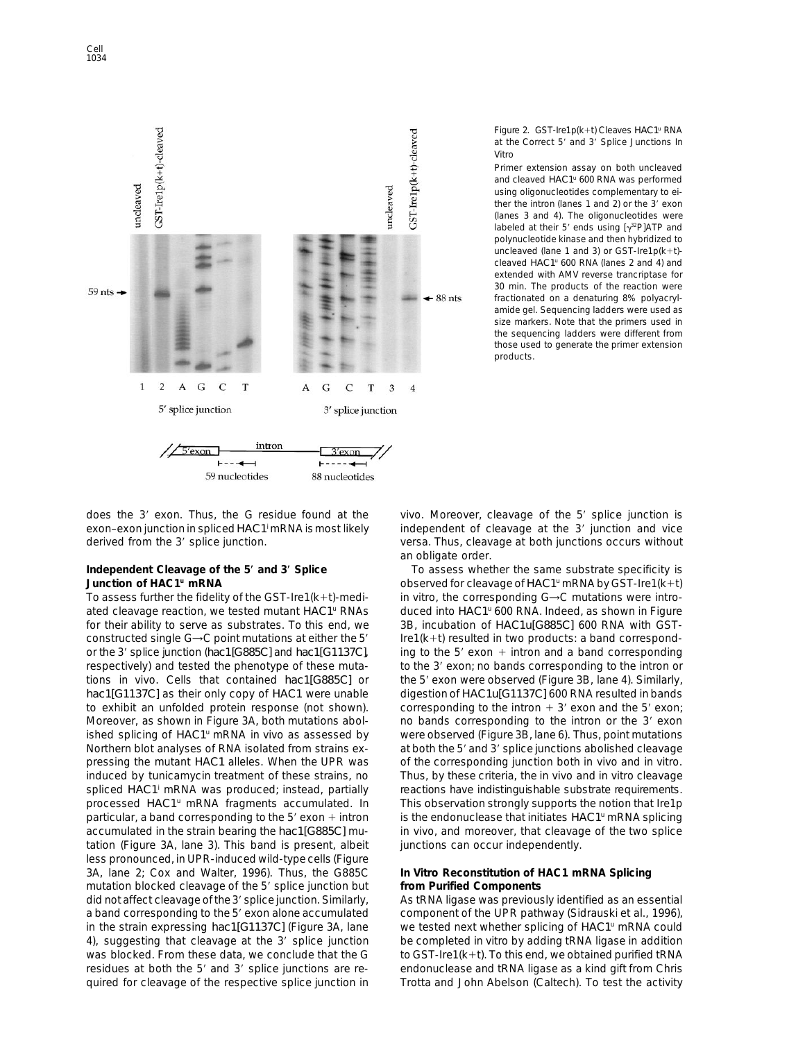

exon–exon junction in spliced  $HAC1'$ mRNA is most likely

ated cleavage reaction, we tested mutant *HAC1<sup>u</sup>* RNAs for their ability to serve as substrates. To this end, we 3B, incubation of *HAC1u[G885C]* 600 RNA with GSTconstructed single G→C point mutations at either the 5' Ire1(k+t) resulted in two products: a band correspond-<br>or the 3' splice junction (hac1/G885C) and hac1/G1137C], ing to the 5' exon + intron and a band corresponding respectively) and tested the phenotype of these muta- to the 3' exon; no bands corresponding to the intron or tions in vivo. Cells that contained *hac1[G885C]* or the 5' exon were observed (Figure 3B, lane 4). Similarly, *hac1[G1137C]* as their only copy of *HAC1* were unable digestion of *HAC1u[G1137C]* 600 RNA resulted in bands to exhibit an unfolded protein response (not shown). corresponding to the intron  $+3'$  exon and the 5' exon; Moreover, as shown in Figure 3A, both mutations abol- no bands corresponding to the intron or the 3' exon ished splicing of *HAC1*<sup>"</sup> mRNA in vivo as assessed by were observed (Figure 3B, lane 6). Thus, point mutations Northern blot analyses of RNA isolated from strains ex-<br>at both the 5' and 3' splice junctions abolished cleavage pressing the mutant *HAC1* alleles. When the UPR was of the corresponding junction both in vivo and in vitro. induced by tunicamycin treatment of these strains, no Thus, by these criteria, the in vivo and in vitro cleavage spliced *HAC1*<sup>*i*</sup> mRNA was produced; instead, partially reactions have indistinguishable substrate requirements. processed *HAC1u* mRNA fragments accumulated. In This observation strongly supports the notion that Ire1p particular, a band corresponding to the 5' exon + intron is the endonuclease that initiates *HAC1*" mRNA splicing accumulated in the strain bearing the *hac1[G885C]* mu- in vivo, and moreover, that cleavage of the two splice tation (Figure 3A, lane 3). This band is present, albeit junctions can occur independently. less pronounced, in UPR-induced wild-type cells (Figure 3A, lane 2; Cox and Walter, 1996). Thus, the G885C **In Vitro Reconstitution of** *HAC1* **mRNA Splicing** mutation blocked cleavage of the 5' splice junction but **from Purified Components** did not affect cleavage of the 3' splice junction. Similarly, As tRNA ligase was previously identified as an essential a band corresponding to the 5' exon alone accumulated component of the UPR pathway (Sidrauski et al., 1996), in the strain expressing *hac1[G1137C]* (Figure 3A, lane we tested next whether splicing of *HAC1<sup>u</sup>* mRNA could 4), suggesting that cleavage at the 3' splice junction be completed in vitro by adding tRNA ligase in addition was blocked. From these data, we conclude that the G  $t$  to GST-Ire1(k+t). To this end, we obtained purified tRNA residues at both the 5' and 3' splice junctions are re- endonuclease and tRNA ligase as a kind gift from Chris quired for cleavage of the respective splice junction in Trotta and John Abelson (Caltech). To test the activity

Figure 2. GST-Ire1p(k+t) Cleaves *HAC1<sup>u</sup>* RNA at the Correct 5' and 3' Splice Junctions In Vitro

Primer extension assay on both uncleaved and cleaved HAC1<sup>u</sup> 600 RNA was performed using oligonucleotides complementary to either the intron (lanes 1 and 2) or the 3' exon (lanes 3 and 4). The oligonucleotides were labeled at their 5' ends using  $[\gamma^{32}P]$ ATP and polynucleotide kinase and then hybridized to uncleaved (lane 1 and 3) or GST-Ire1p( $k+t$ )cleaved *HAC1<sup>u</sup>* 600 RNA (lanes 2 and 4) and extended with AMV reverse trancriptase for 30 min. The products of the reaction were fractionated on a denaturing 8% polyacrylamide gel. Sequencing ladders were used as size markers. Note that the primers used in the sequencing ladders were different from those used to generate the primer extension products.

does the 3' exon. Thus, the G residue found at the vivo. Moreover, cleavage of the 5' splice junction is independent of cleavage at the 3' junction and vice derived from the 3' splice junction. versa. Thus, cleavage at both junctions occurs without an obligate order.

**Independent Cleavage of the 5<sup>7</sup> and 3<sup>***n***</sup> Splice To assess whether the same substrate specificity is Junction of** *HAC1***<sup>u</sup> mRNA observed for cleavage of** *HAC1***<sup>u</sup> mRNA by GST-Ire1(k+t)** To assess further the fidelity of the GST-Ire1(k+t)-medi-<br>ated cleavage reaction, we tested mutant  $HAC1^{\mu}$  RNAs duced into  $HAC1^{\mu}$  600 RNA. Indeed, as shown in Figure ing to the 5' exon + intron and a band corresponding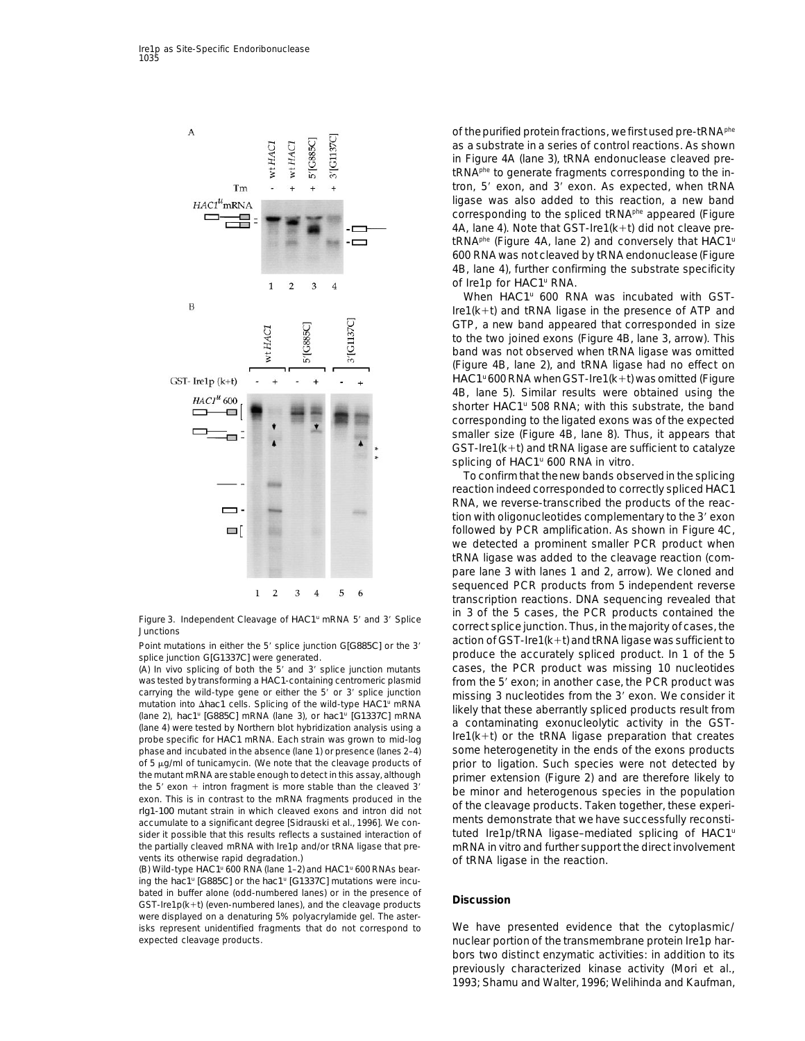

carrying the wild-type gene or either the 5° or 3° splice junction missing 3 nucleotides from the 3' exon. We consider it<br>mutation into  $\Delta$ hac1 cells. Splicing of the wild-type HAC1<sup>°</sup> mRNA is that these aborrantly aplic probe specific for *HAC1* mRNA. Each strain was grown to mid-log Ire1(k1t) or the tRNA ligase preparation that creates phase and incubated in the absence (lane 1) or presence (lanes 2–4) some heterogenetity in the ends of the exons products of  $5 \mu$ g/ml of tunicamycin. (We note that the cleavage products of prior to ligation. Such species were not detected by the mutant mRNA are stable enough to detect in this assay, although primer extension (Figure 2) and are therefore likely to the 5' exon + intron fragment is more stable than the cleaved 3' exon. This is in contrast to the ments demonstrate that we have successfully reconstinue that we have successfully reconsti-<br>accumulate to a significant degree [Sidrauski et al., 1996]. We con-<br>ments demonstrate that we have successfully reconstisider it possible that this results reflects a sustained interaction of tuted Ire1p/tRNA ligase–mediated splicing of HAC1<sup>u</sup>

vents its otherwise rapid degradation.) **of tRNA ligase in the reaction.**<br>(B) Wild-type *HAC1<sup>u</sup>* 600 RNA (lane 1-2) and *HAC1<sup>u</sup>* 600 RNAs bearing the *hac1u [G885C]* or the *hac1u [G1337C]* mutations were incubated in buffer alone (odd-numbered lanes) or in the presence of **Discussion**<br>GST-Ire1p(k+t) (even-numbered lanes), and the cleavage products were displayed on a denaturing 5% polyacrylamide gel. The aster-

of the purified protein fractions, we first used pre-tRNA<sup>phe</sup> as a substrate in a series of control reactions. As shown in Figure 4A (lane 3), tRNA endonuclease cleaved pretRNAphe to generate fragments corresponding to the intron, 5' exon, and 3' exon. As expected, when tRNA ligase was also added to this reaction, a new band corresponding to the spliced tRNAphe appeared (Figure 4A, lane 4). Note that  $GST-Iref(k+t)$  did not cleave pretRNAphe (Figure 4A, lane 2) and conversely that *HAC1u* 600 RNA was not cleaved by tRNA endonuclease (Figure 4B, lane 4), further confirming the substrate specificity of Ire1p for *HAC1u* RNA.

When *HAC1<sup>u</sup>* 600 RNA was incubated with GST-Ire1( $k+t$ ) and tRNA ligase in the presence of ATP and GTP, a new band appeared that corresponded in size to the two joined exons (Figure 4B, lane 3, arrow). This band was not observed when tRNA ligase was omitted (Figure 4B, lane 2), and tRNA ligase had no effect on *HAC1<sup>u</sup>* 600 RNA when GST-Ire1(k+t) was omitted (Figure 4B, lane 5). Similar results were obtained using the shorter *HAC1<sup>u</sup>* 508 RNA; with this substrate, the band corresponding to the ligated exons was of the expected smaller size (Figure 4B, lane 8). Thus, it appears that  $GST-Ire1(k+t)$  and tRNA ligase are sufficient to catalyze splicing of HAC1<sup>u</sup> 600 RNA in vitro.

To confirm that thenew bands observedin the splicing reaction indeed corresponded to correctly spliced *HAC1* RNA, we reverse-transcribed the products of the reaction with oligonucleotides complementary to the 3' exon followed by PCR amplification. As shown in Figure 4C, we detected a prominent smaller PCR product when tRNA ligase was added to the cleavage reaction (compare lane 3 with lanes 1 and 2, arrow). We cloned and sequenced PCR products from 5 independent reverse transcription reactions. DNA sequencing revealed that Figure 3. Independent Cleavage of *HAC1<sup>u</sup>* mRNA 5' and 3' Splice **in 3 of the 5 cases, the PCR products contained the correct splice junction. Thus, in the majority of cases, the** Point mutations in either the 5' splice junction G[G885C] or the 3' action of GST-Ire1(k+t) and tRNA ligase was sufficient to splice junction G*[G1337C]* were generated. **produce the accurately spliced product. In 1 of the 5** (A) In vivo splicing of both the 5' and 3' splice junction mutants cases, the PCR product was missing 10 nucleotides was tested by transforming a *HAC1*-containing centromeric plasmid from the 5' exon; in another case, the PCR product was carrying the wild-type gene or either the 5' or 3' splice junction missing 3 nucleotides from the 3' date 2), hact<sup>"</sup> [G885C] mRNA (lane 3), or hact<sup>"</sup> [G1337C] mRNA<br>(lane 2), hact<sup>"</sup> [G885C] mRNA (lane 3), or hact<sup>"</sup> [G1337C] mRNA a contaminating exonucleolytic activity in the GST-<br>(lane 4) were tested by Northern blot the partially cleaved mRNA with Ire1p and/or tRNA ligase that pre- mRNA in vitro and further support the direct involvement

isks represent unidentified fragments that do not correspond to We have presented evidence that the cytoplasmic/ expected cleavage products. **nuclear portion of the transmembrane protein Ire1p har**bors two distinct enzymatic activities: in addition to its previously characterized kinase activity (Mori et al., 1993; Shamu and Walter, 1996; Welihinda and Kaufman,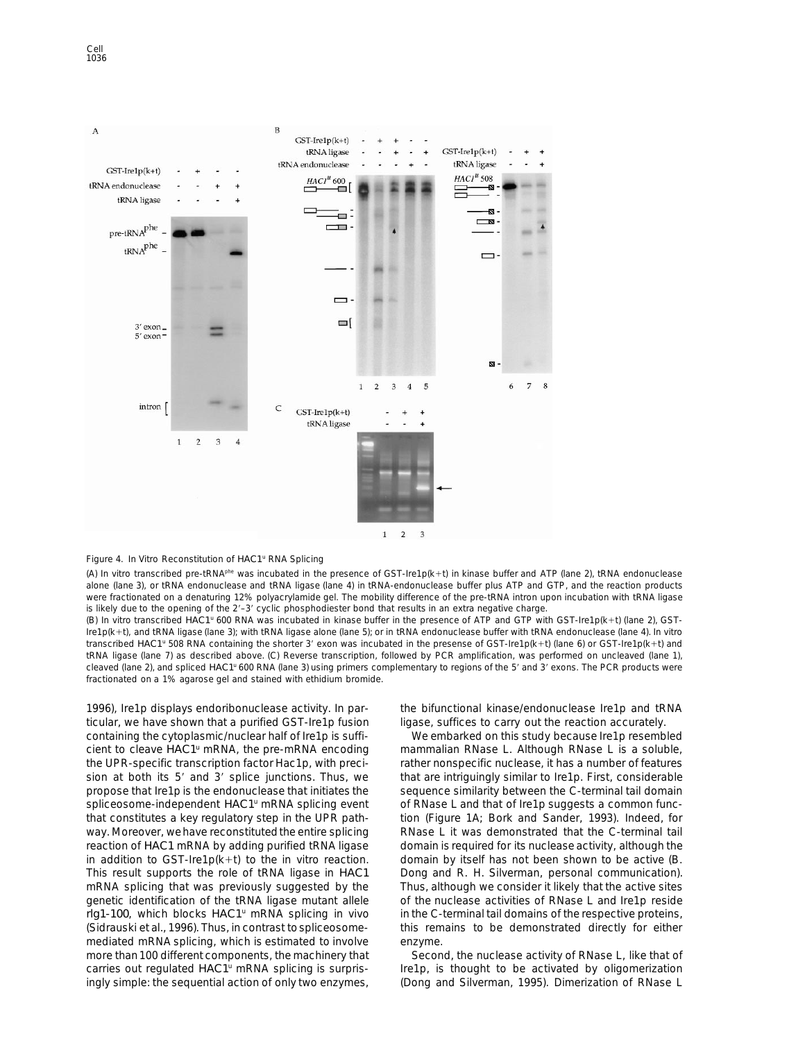

### Figure 4. In Vitro Reconstitution of *HAC1<sup>u</sup>* RNA Splicing

(A) In vitro transcribed pre-tRNA<sup>phe</sup> was incubated in the presence of GST-Ire1p(k+t) in kinase buffer and ATP (lane 2), tRNA endonuclease alone (lane 3), or tRNA endonuclease and tRNA ligase (lane 4) in tRNA-endonuclease buffer plus ATP and GTP, and the reaction products were fractionated on a denaturing 12% polyacrylamide gel. The mobility difference of the pre-tRNA intron upon incubation with tRNA ligase is likely due to the opening of the 2'-3' cyclic phosphodiester bond that results in an extra negative charge.

(B) In vitro transcribed HAC1<sup>u</sup> 600 RNA was incubated in kinase buffer in the presence of ATP and GTP with GST-Ire1p(k+t) (lane 2), GST-Ire1p(k+t), and tRNA ligase (lane 3); with tRNA ligase alone (lane 5); or in tRNA endonuclease buffer with tRNA endonuclease (lane 4). In vitro transcribed HAC1<sup>u</sup> 508 RNA containing the shorter 3' exon was incubated in the presense of GST-Ire1p(k+t) (lane 6) or GST-Ire1p(k+t) and tRNA ligase (lane 7) as described above. (C) Reverse transcription, followed by PCR amplification, was performed on uncleaved (lane 1), cleaved (lane 2), and spliced HAC1<sup>u</sup> 600 RNA (lane 3) using primers complementary to regions of the 5' and 3' exons. The PCR products were fractionated on a 1% agarose gel and stained with ethidium bromide.

1996), Ire1p displays endoribonuclease activity. In par- the bifunctional kinase/endonuclease Ire1p and tRNA ticular, we have shown that a purified GST-Ire1p fusion ligase, suffices to carry out the reaction accurately. containing the cytoplasmic/nuclear half of Ire1p is suffi- We embarked on this study because Ire1p resembled cient to cleave *HAC1<sup>u</sup>* mRNA, the pre-mRNA encoding mammalian RNase L. Although RNase L is a soluble, the UPR-specific transcription factor Hac1p, with preci- rather nonspecific nuclease, it has a number of features sion at both its 5' and 3' splice junctions. Thus, we that are intriguingly similar to Ire1p. First, considerable propose that Ire1p is the endonuclease that initiates the sequence similarity between the C-terminal tail domain spliceosome-independent *HAC1<sup>u</sup>* mRNA splicing event of RNase L and that of Ire1p suggests a common functhat constitutes a key regulatory step in the UPR path- tion (Figure 1A; Bork and Sander, 1993). Indeed, for way. Moreover, we have reconstituted the entire splicing RNase L it was demonstrated that the C-terminal tail reaction of *HAC1* mRNA by adding purified tRNA ligase domain is required for its nuclease activity, although the in addition to GST-Ire1p( $k+t$ ) to the in vitro reaction. domain by itself has not been shown to be active (B. This result supports the role of tRNA ligase in *HAC1* Dong and R. H. Silverman, personal communication). mRNA splicing that was previously suggested by the Thus, although we consider it likely that the active sites genetic identification of the tRNA ligase mutant allele of the nuclease activities of RNase L and Ire1p reside *rlg1-100*, which blocks *HAC1*<sup>"</sup> mRNA splicing in vivo in the C-terminal tail domains of the respective proteins, (Sidrauski et al., 1996). Thus, in contrast tospliceosome- this remains to be demonstrated directly for either mediated mRNA splicing, which is estimated to involve enzyme. more than 100 different components, the machinery that Second, the nuclease activity of RNase L, like that of carries out regulated *HAC1<sup>u</sup>* mRNA splicing is surpris-<br>Ire1p, is thought to be activated by oligomerization ingly simple: the sequential action of only two enzymes, (Dong and Silverman, 1995). Dimerization of RNase L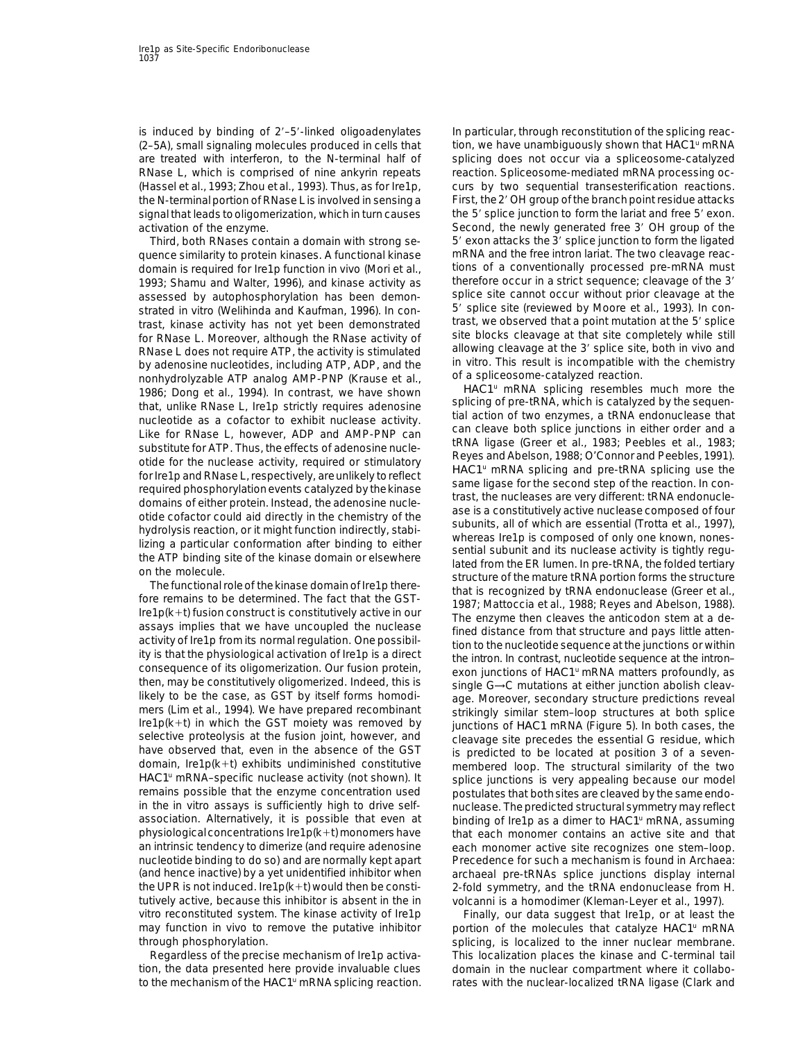is induced by binding of  $2'-5'$ -linked oligoadenylates In particular, through reconstitution of the splicing reac-(2-5A), small signaling molecules produced in cells that tion, we have unambiguously shown that *HAC1<sup>u</sup>* mRNA are treated with interferon, to the N-terminal half of splicing does not occur via a spliceosome-catalyzed RNase L, which is comprised of nine ankyrin repeats reaction. Spliceosome-mediated mRNA processing oc-(Hassel et al., 1993; Zhou et al., 1993). Thus, as for Ire1p, curs by two sequential transesterification reactions. the N-terminal portion of RNase L is involved in sensing a First, the 2' OH group of the branch point residue attacks signal that leads to oligomerization, which in turn causes the 5' splice junction to form the lariat and free 5' exon. activation of the enzyme. Second, the newly generated free 3' OH group of the

quence similarity to protein kinases. A functional kinase mRNA and the free intron lariat. The two cleavage reacdomain is required for Ire1p function in vivo (Mori et al., tions of a conventionally processed pre-mRNA must<br>1993: Shamu and Walter, 1996), and kinase activity as therefore occur in a strict sequence; cleavage of the 3' 1993; Shamu and Walter, 1996), and kinase activity as therefore occur in a strict sequence; cleavage of the 3'<br>assessed, by autophosphorylation, has been demon- splice site cannot occur without prior cleavage at the assessed by autophosphorylation has been demon- splice site cannot occur without prior cleavage at the<br>strated in vitro (Welihinda and Kaufman, 1996). In con- 5' splice site (reviewed by Moore et al., 1993). In constrated in vitro (Welihinda and Kaufman, 1996). In contrast, kinase activity has not yet been demonstrated trast, we observed that a point mutation at the 5' splice<br>for RNase L. Moreover, although the RNase activity of site blocks cleavage at that site completely while still<br> RNase L does not require ATP, the activity is stimulated allowing cleavage at the 3<sup>o</sup> splice site, both in vivo and<br>by adenosine pucleotides, including ATP, ADP, and the and the singlificant is incompatible with the chem by adenosine nucleotides, including ATP, ADP, and the in vitro. This result is incompatible with nonbudge with the chemistry of a spliceosome-catalyzed reaction.

domain, Ire1p(k+t) exhibits undiminished constitutive membered loop. The structural similarity of the two<br>HAC1<sup>u</sup> mRNA-specific nuclease activity (not shown). It splice junctions is very appealing because our model *HAC1*<sup>*v*</sup> mRNA–specific nuclease activity (not shown). It splice junctions is very appealing because our model<br>Femains possible that the enzyme concentration used sportulates that both sites are cleaved by the same endoremains possible that the enzyme concentration used postulates that both sites are cleaved by the same endo-<br>In the in vitro assays is sufficiently high to drive self- puclease. The predicted structural symmetry may reflec association. Alternatively, it is possible that even at binding of Ire1p as a dimer to *HAC1<sup>u</sup>* mRNA, assuming physiological concentrations  $Irelp(k+t)$  monomers have that each monomer contains an active site and that an intrinsic tendency to dimerize (and require adenosine each monomer active site recognizes one stem–loop. nucleotide binding to do so) and are normally kept apart Precedence for such a mechanism is found in Archaea: (and hence inactive) by a yet unidentified inhibitor when archaeal pre-tRNAs splice junctions display internal the UPR is not induced. Ire1p(k+t) would then be consti-  $2$ -fold symmetry, and the tRNA endonuclease from H. tutively active, because this inhibitor is absent in the in volcanni is a homodimer (Kleman-Leyer et al., 1997). vitro reconstituted system. The kinase activity of Ire1p Finally, our data suggest that Ire1p, or at least the may function in vivo to remove the putative inhibitor portion of the molecules that catalyze *HAC1<sup>u</sup>* mRNA

tion, the data presented here provide invaluable clues domain in the nuclear compartment where it collaboto the mechanism of the *HAC1*" mRNA splicing reaction. The rates with the nuclear-localized tRNA ligase (Clark and

Third, both RNases contain a domain with strong se-<br>5' exon attacks the 3' splice junction to form the ligated

nonhydrolyzable ATP analog AMP-PMP (Krause et al., of a spliceosome-catalyzed reaction.<br>
1986: Dong et al., 1994). In contrast, we have shown that c'in mRNA splicing resembles much more the<br>
that, unlike RNase L, lreft p s nuclease. The predicted structural symmetry may reflect

through phosphorylation. splicing, is localized to the inner nuclear membrane. Regardless of the precise mechanism of Ire1p activa- This localization places the kinase and C-terminal tail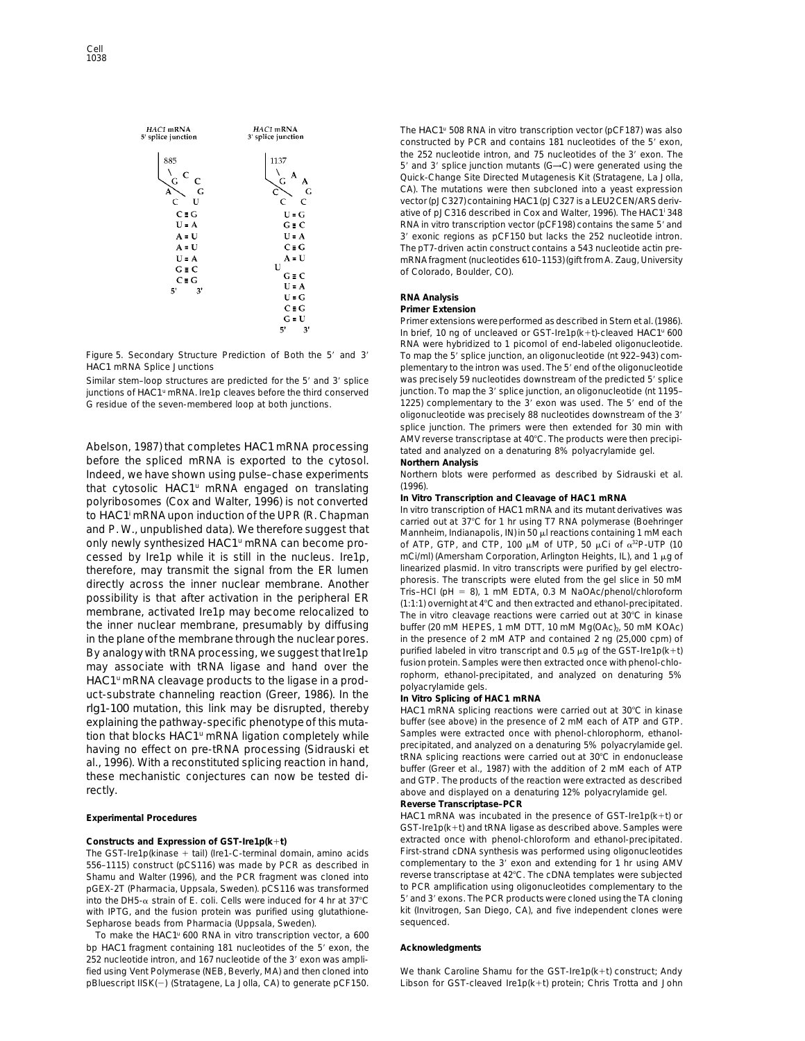

*HAC1* mRNA Splice Junctions **plementary to the intron was used.** The 5' end of the oligonucleotide

junctions of HAC1<sup>u</sup> mRNA. Ire1p cleaves before the third conserved junction. To map the 3' splice junction, an oligonucleotide (nt 1195– G residue of the seven-membered loop at both junctions. 1225) complementary to the 3' exon was used. The 5' end of the

before the spliced mRNA is exported to the cytosol. *Northern Analysis* Indeed, we have shown using pulse–chase experiments Northern blots were performed as described by Sidrauski et al. that cytosolic  $HAC1^u$  mRNA engaged on translating  $\mu$  Witro Transcription and Cleavage of HAC1 mRNA<br>polyribosomes (Cox and Walter, 1996) is not converted  $HAC1^i$  in Vitro transcription and Cleavage of HAC1 mRNA<br>to  $HAC1^$ only newly synthesized *HAC1<sup>u</sup>* mRNA can become pro- of ATP, GTP, and CTP, 100 μM of UTP, 50 μCi of α<sup>32</sup>P-UTP (10 cessed by Ire1p while it is still in the nucleus. Ire1p, mci/ml) (Amersham Corporation, Arlington Heights, IL), and 1 μg of<br>therefore, may transmit the signal from the ER lumen linearized plasmid. In vitro transcripts wer therefore, may transmit the signal from the ER lumen and inearized plasmid. In vitro transcripts were purified by gel electro-<br>directly across the inner purclear mombrane. Another and phoresis. The transcripts were eluted directly across the inner nuclear membrane. Another<br>possibility is that after activation in the peripheral ER<br>membrane, activated Ire1p may become relocalized to<br>membrane activated Ire1p may become relocalized to<br>The in v the inner nuclear membrane, presumably by diffusing buffer (20 mM HEPES, 1 mM DTT, 10 mM Mg(OAc)<sub>2</sub>, 50 mM KOAc) in the plane of the membrane through the nuclear pores. in the presence of 2 mM ATP and contained 2 ng (25,000 cpm) of By analogy with tRNA processing, we suggest that Ire1p purified labeled in vitro transcript and 0.5  $\mu$ g of the GST-Ire1p(k+t) may associate with tBNA ligase and band over the fusion protein. Samples were then extracted may associate with tRNA ligase and hand over the fusion protein. Samples were then extracted once with phenol-chlo-<br>HAC14 mPNA elequate products to the ligace in e production of representational precipitated, and analyzed HAC1" mRNA cleavage products to the ligase in a prod-<br>uct-substrate channeling reaction (Greer, 1986). In the *In Vitro Splicing of HAC1 mRNA rlg1-100* mutation, this link may be disrupted, thereby *HAC1* mRNA splicing reactions were carried out at 30°C in kinase explaining the pathway-specific phenotype of this muta- buffer (see above) in the presence of 2 mM each of ATP and GTP. tion that blocks  $HAC1^u$  mRNA ligation completely while<br>having no effect on pre-tRNA processing (Sidrauski et<br>al., 1996). With a reconstituted splicing reaction in hand,<br>these mechanistic conjectures can now be tested di-

The GST-Ire1p(kinase  $+$  tail) (Ire1-C-terminal domain, amino acids 556–1115) construct (pCS116) was made by PCR as described in complementary to the 3' exon and extending for 1 hr using AMV<br>Shamu and Walter (1996), and the PCR fragment was cloned into reverse transcriptase at 42°C. The cD Shamu and Walter (1996), and the PCR fragment was cloned into pGEX-2T (Pharmacia, Uppsala, Sweden). pCS116 was transformed to PCR amplification using oligonucleotides complementary to the<br>into the DH5-y strain of E coli. Cells were induced for 4 hr at 37°C 5' and 3' exons. The PCR pr into the DH5-a strain of E. coli. Cells were induced for 4 hr at 37°C 5' and 3' exons. The PCR products were cloned using the TA cloning<br>with IPTG, and the fusion protein was purified using glutathione- kit (Invitrogen, Sa with IPTG, and the fusion protein was purified using glutathione- kit (Invitrogen, Sepharose beads from Pharmacia (Uppsala, Sweden), and the sequenced. Sepharose beads from Pharmacia (Uppsala, Sweden).

To make the *HAC1<sup>u</sup>* 600 RNA in vitro transcription vector, a 600 bp *HAC1* fragment containing 181 nucleotides of the 5' exon, the **Acknowledgments** 252 nucleotide intron, and  $167$  nucleotide of the  $3'$  exon was amplified using Vent Polymerase (NEB, Beverly, MA) and then cloned into We thank Caroline Shamu for the GST-Ire1p(k+t) construct; Andy<br>pBluescript IISK(-) (Stratagene, La Jolla, CA) to generate pCF150. Libson for GST-cleaved Ir

The *HAC1<sup>u</sup>* 508 RNA in vitro transcription vector (pCF187) was also constructed by PCR and contains 181 nucleotides of the 5' exon, the 252 nucleotide intron, and 75 nucleotides of the 3' exon. The 5' and 3' splice junction mutants (G→C) were generated using the Quick-Change Site Directed Mutagenesis Kit (Stratagene, La Jolla, CA). The mutations were then subcloned into a yeast expression vector (pJC327) containing *HAC1* (pJC327 is a *LEU2* CEN/ARS derivative of pJC316 described in Cox and Walter, 1996). The *HAC1i* 348 RNA in vitro transcription vector (pCF198) contains the same 5' and 3' exonic regions as pCF150 but lacks the 252 nucleotide intron. The pT7-driven actin construct contains a 543 nucleotide actin premRNAfragment (nucleotides 610–1153) (gift from A. Zaug, University of Colorado, Boulder, CO).

### **RNA Analysis**

## *Primer Extension*

Primer extensions wereperformed as described in Stern et al. (1986). In brief, 10 ng of uncleaved or GST-Ire1p(k+t)-cleaved *HAC1<sup>u</sup>* 600 RNA were hybridized to 1 picomol of end-labeled oligonucleotide. Figure 5. Secondary Structure Prediction of Both the 5' and 3' To map the 5' splice junction, an oligonucleotide (nt 922-943) com-Similar stem-loop structures are predicted for the 5' and 3' splice was precisely 59 nucleotides downstream of the predicted 5' splice oligonucleotide was precisely 88 nucleotides downstream of the 3' splice junction. The primers were then extended for 30 min with AMV reverse transcriptase at 40°C. The products were then precipi-<br>Abelson, 1987) that completes *HAC1* mRNA processing<br>tated and analyzed on a denaturing 8% polyacrylamide gel.

above and displayed on a denaturing 12% polyacrylamide gel. *Reverse Transcriptase–PCR*

**Experimental Procedures** *HAC1* **mRNA** was incubated in the presence of GST-Ire1p(k+t) or  $GST-Ire1p(k+t)$  and  $tRNA$  ligase as described above. Samples were **Constructs and Expression of GST-Ire1p(k+t)** extracted once with phenol-chloroform and ethanol-precipitated.<br>
The GST-Ire1p(kinase + tail) (Ire1-C-terminal domain, amino acids<br>
First-strand cDNA synthesis was performed us

Libson for GST-cleaved Ire1p(k+t) protein; Chris Trotta and John